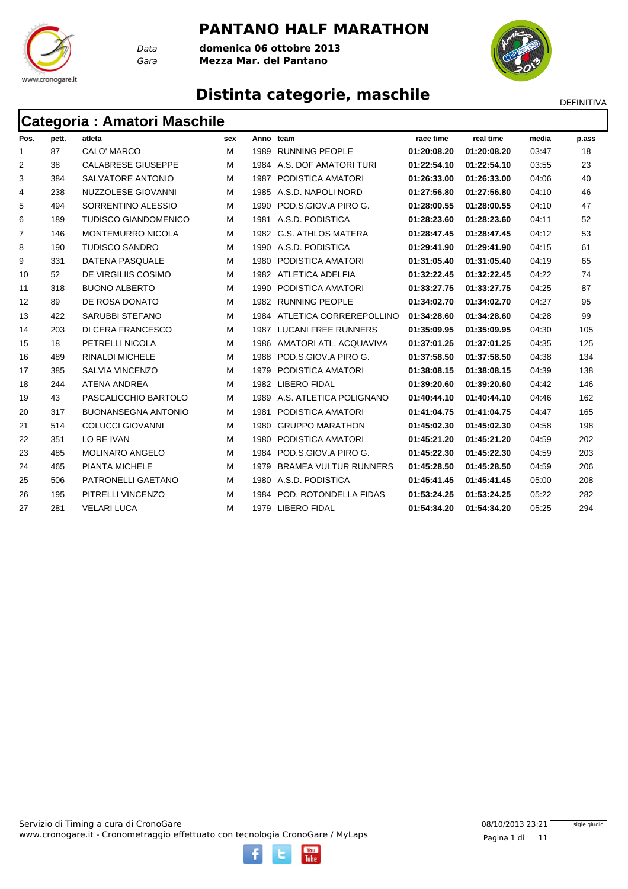#### **PANTANO HALF MARATHON**

*Gara* **Mezza Mar. del Pantano** *Data* **domenica 06 ottobre 2013**



## **Distinta categorie, maschile** Distintant DEFINITIVA

## **Categoria : Amatori Maschile**

www.cronogare.it

| Pos.         | pett. | atleta                      | sex | Anno team |                              | race time   | real time   | media | p.ass |
|--------------|-------|-----------------------------|-----|-----------|------------------------------|-------------|-------------|-------|-------|
| $\mathbf{1}$ | 87    | CALO' MARCO                 | м   | 1989      | <b>RUNNING PEOPLE</b>        | 01:20:08.20 | 01:20:08.20 | 03:47 | 18    |
| 2            | 38    | <b>CALABRESE GIUSEPPE</b>   | м   | 1984      | A.S. DOF AMATORI TURI        | 01:22:54.10 | 01:22:54.10 | 03:55 | 23    |
| 3            | 384   | SALVATORE ANTONIO           | м   |           | 1987 PODISTICA AMATORI       | 01:26:33.00 | 01:26:33.00 | 04:06 | 40    |
| 4            | 238   | NUZZOLESE GIOVANNI          | м   |           | 1985 A.S.D. NAPOLI NORD      | 01:27:56.80 | 01:27:56.80 | 04:10 | 46    |
| 5            | 494   | SORRENTINO ALESSIO          | м   | 1990      | POD.S.GIOV.A PIRO G.         | 01:28:00.55 | 01:28:00.55 | 04:10 | 47    |
| 6            | 189   | <b>TUDISCO GIANDOMENICO</b> | м   |           | 1981 A.S.D. PODISTICA        | 01:28:23.60 | 01:28:23.60 | 04:11 | 52    |
| 7            | 146   | <b>MONTEMURRO NICOLA</b>    | м   |           | 1982 G.S. ATHLOS MATERA      | 01:28:47.45 | 01:28:47.45 | 04:12 | 53    |
| 8            | 190   | <b>TUDISCO SANDRO</b>       | м   |           | 1990 A.S.D. PODISTICA        | 01:29:41.90 | 01:29:41.90 | 04:15 | 61    |
| 9            | 331   | <b>DATENA PASQUALE</b>      | м   |           | 1980 PODISTICA AMATORI       | 01:31:05.40 | 01:31:05.40 | 04:19 | 65    |
| 10           | 52    | DE VIRGILIIS COSIMO         | м   |           | 1982 ATLETICA ADELFIA        | 01:32:22.45 | 01:32:22.45 | 04:22 | 74    |
| 11           | 318   | <b>BUONO ALBERTO</b>        | м   | 1990      | PODISTICA AMATORI            | 01:33:27.75 | 01:33:27.75 | 04:25 | 87    |
| 12           | 89    | DE ROSA DONATO              | м   |           | 1982 RUNNING PEOPLE          | 01:34:02.70 | 01:34:02.70 | 04:27 | 95    |
| 13           | 422   | <b>SARUBBI STEFANO</b>      | M   | 1984      | ATLETICA CORREREPOLLINO      | 01:34:28.60 | 01:34:28.60 | 04:28 | 99    |
| 14           | 203   | DI CERA FRANCESCO           | м   | 1987      | <b>LUCANI FREE RUNNERS</b>   | 01:35:09.95 | 01:35:09.95 | 04:30 | 105   |
| 15           | 18    | PETRELLI NICOLA             | м   | 1986      | AMATORI ATL, ACQUAVIVA       | 01:37:01.25 | 01:37:01.25 | 04:35 | 125   |
| 16           | 489   | <b>RINALDI MICHELE</b>      | м   | 1988      | POD.S.GIOV.A PIRO G.         | 01:37:58.50 | 01:37:58.50 | 04:38 | 134   |
| 17           | 385   | <b>SALVIA VINCENZO</b>      | м   | 1979      | PODISTICA AMATORI            | 01:38:08.15 | 01:38:08.15 | 04:39 | 138   |
| 18           | 244   | <b>ATENA ANDREA</b>         | м   | 1982      | <b>LIBERO FIDAL</b>          | 01:39:20.60 | 01:39:20.60 | 04:42 | 146   |
| 19           | 43    | PASCALICCHIO BARTOLO        | м   | 1989      | A.S. ATLETICA POLIGNANO      | 01:40:44.10 | 01:40:44.10 | 04:46 | 162   |
| 20           | 317   | <b>BUONANSEGNA ANTONIO</b>  | м   | 1981      | PODISTICA AMATORI            | 01:41:04.75 | 01:41:04.75 | 04:47 | 165   |
| 21           | 514   | <b>COLUCCI GIOVANNI</b>     | м   | 1980      | <b>GRUPPO MARATHON</b>       | 01:45:02.30 | 01:45:02.30 | 04:58 | 198   |
| 22           | 351   | LO RE IVAN                  | м   | 1980      | PODISTICA AMATORI            | 01:45:21.20 | 01:45:21.20 | 04:59 | 202   |
| 23           | 485   | <b>MOLINARO ANGELO</b>      | м   | 1984      | POD.S.GIOV.A PIRO G.         | 01:45:22.30 | 01:45:22.30 | 04:59 | 203   |
| 24           | 465   | PIANTA MICHELE              | м   | 1979      | <b>BRAMEA VULTUR RUNNERS</b> | 01:45:28.50 | 01:45:28.50 | 04:59 | 206   |
| 25           | 506   | PATRONELLI GAETANO          | м   |           | 1980 A.S.D. PODISTICA        | 01:45:41.45 | 01:45:41.45 | 05:00 | 208   |
| 26           | 195   | PITRELLI VINCENZO           | м   | 1984      | POD. ROTONDELLA FIDAS        | 01:53:24.25 | 01:53:24.25 | 05:22 | 282   |
| 27           | 281   | <b>VELARI LUCA</b>          | м   |           | 1979 LIBERO FIDAL            | 01:54:34.20 | 01:54:34.20 | 05:25 | 294   |

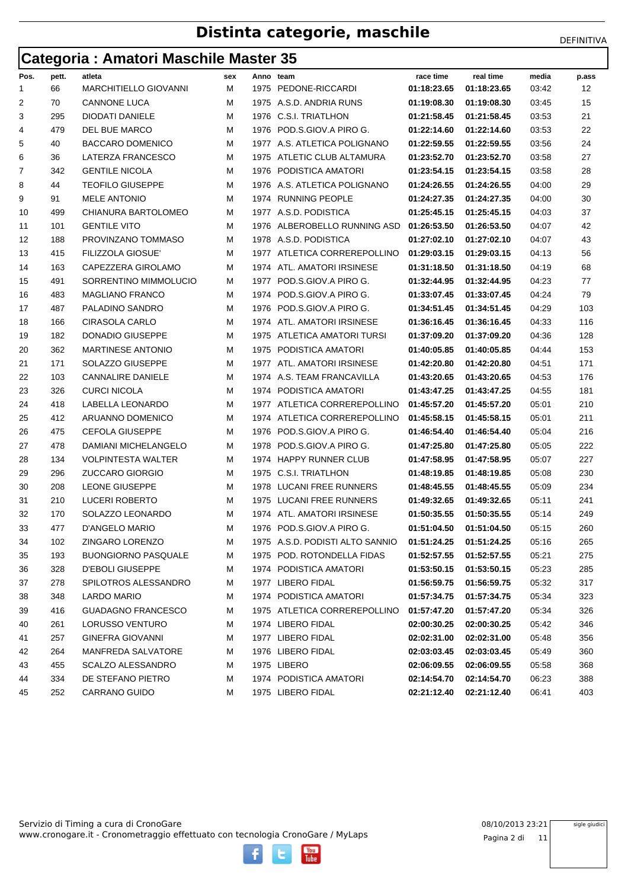### **Categoria : Amatori Maschile Master 35**

|  |  | DEFINITIVA |
|--|--|------------|
|  |  |            |

|      | . .   |                              |     |      |                                 |             |                         |       |       |
|------|-------|------------------------------|-----|------|---------------------------------|-------------|-------------------------|-------|-------|
| Pos. | pett. | atleta                       | sex |      | Anno team                       | race time   | real time               | media | p.ass |
| 1    | 66    | <b>MARCHITIELLO GIOVANNI</b> | М   | 1975 | PEDONE-RICCARDI                 | 01:18:23.65 | 01:18:23.65             | 03:42 | 12    |
| 2    | 70    | <b>CANNONE LUCA</b>          | М   |      | 1975 A.S.D. ANDRIA RUNS         | 01:19:08.30 | 01:19:08.30             | 03:45 | 15    |
| 3    | 295   | DIODATI DANIELE              | М   |      | 1976 C.S.I. TRIATLHON           | 01:21:58.45 | 01:21:58.45             | 03:53 | 21    |
| 4    | 479   | DEL BUE MARCO                | м   | 1976 | POD.S.GIOV.A PIRO G.            | 01:22:14.60 | 01:22:14.60             | 03:53 | 22    |
| 5    | 40    | <b>BACCARO DOMENICO</b>      | м   |      | 1977 A.S. ATLETICA POLIGNANO    | 01:22:59.55 | 01:22:59.55             | 03:56 | 24    |
| 6    | 36    | LATERZA FRANCESCO            | М   | 1975 | ATLETIC CLUB ALTAMURA           | 01:23:52.70 | 01:23:52.70             | 03:58 | 27    |
| 7    | 342   | <b>GENTILE NICOLA</b>        | М   | 1976 | PODISTICA AMATORI               | 01:23:54.15 | 01:23:54.15             | 03:58 | 28    |
| 8    | 44    | <b>TEOFILO GIUSEPPE</b>      | м   | 1976 | A.S. ATLETICA POLIGNANO         | 01:24:26.55 | 01:24:26.55             | 04:00 | 29    |
| 9    | 91    | <b>MELE ANTONIO</b>          | М   | 1974 | <b>RUNNING PEOPLE</b>           | 01:24:27.35 | 01:24:27.35             | 04:00 | 30    |
| 10   | 499   | CHIANURA BARTOLOMEO          | м   |      | 1977 A.S.D. PODISTICA           | 01:25:45.15 | 01:25:45.15             | 04:03 | 37    |
| 11   | 101   | <b>GENTILE VITO</b>          | м   | 1976 | ALBEROBELLO RUNNING ASD         | 01:26:53.50 | 01:26:53.50             | 04:07 | 42    |
| 12   | 188   | PROVINZANO TOMMASO           | м   |      | 1978 A.S.D. PODISTICA           | 01:27:02.10 | 01:27:02.10             | 04:07 | 43    |
| 13   | 415   | <b>FILIZZOLA GIOSUE'</b>     | М   |      | 1977 ATLETICA CORREREPOLLINO    | 01:29:03.15 | 01:29:03.15             | 04:13 | 56    |
| 14   | 163   | CAPEZZERA GIROLAMO           | м   | 1974 | ATL. AMATORI IRSINESE           | 01:31:18.50 | 01:31:18.50             | 04:19 | 68    |
| 15   | 491   | SORRENTINO MIMMOLUCIO        | м   | 1977 | POD.S.GIOV.A PIRO G.            | 01:32:44.95 | 01:32:44.95             | 04:23 | 77    |
| 16   | 483   | <b>MAGLIANO FRANCO</b>       | м   | 1974 | POD.S.GIOV.A PIRO G.            | 01:33:07.45 | 01:33:07.45             | 04:24 | 79    |
| 17   | 487   | PALADINO SANDRO              | М   | 1976 | POD.S.GIOV.A PIRO G.            | 01:34:51.45 | 01:34:51.45             | 04:29 | 103   |
| 18   | 166   | <b>CIRASOLA CARLO</b>        | М   | 1974 | ATL. AMATORI IRSINESE           | 01:36:16.45 | 01:36:16.45             | 04:33 | 116   |
| 19   | 182   | <b>DONADIO GIUSEPPE</b>      | М   | 1975 | ATLETICA AMATORI TURSI          | 01:37:09.20 | 01:37:09.20             | 04:36 | 128   |
| 20   | 362   | <b>MARTINESE ANTONIO</b>     | м   | 1975 | PODISTICA AMATORI               | 01:40:05.85 | 01:40:05.85             | 04:44 | 153   |
| 21   | 171   | SOLAZZO GIUSEPPE             | М   | 1977 | ATL. AMATORI IRSINESE           | 01:42:20.80 | 01:42:20.80             | 04:51 | 171   |
| 22   | 103   | <b>CANNALIRE DANIELE</b>     | м   |      | 1974 A.S. TEAM FRANCAVILLA      | 01:43:20.65 | 01:43:20.65             | 04:53 | 176   |
| 23   | 326   | <b>CURCI NICOLA</b>          | м   | 1974 | PODISTICA AMATORI               | 01:43:47.25 | 01:43:47.25             | 04:55 | 181   |
| 24   | 418   | LABELLA LEONARDO             | М   |      | 1977 ATLETICA CORREREPOLLINO    | 01:45:57.20 | 01:45:57.20             | 05:01 | 210   |
| 25   | 412   | ARUANNO DOMENICO             | М   |      | 1974 ATLETICA CORREREPOLLINO    | 01:45:58.15 | 01:45:58.15             | 05:01 | 211   |
| 26   | 475   | <b>CEFOLA GIUSEPPE</b>       | м   | 1976 | POD.S.GIOV.A PIRO G.            | 01:46:54.40 | 01:46:54.40             | 05:04 | 216   |
| 27   | 478   | DAMIANI MICHELANGELO         | м   | 1978 | POD.S.GIOV.A PIRO G.            | 01:47:25.80 | 01:47:25.80             | 05:05 | 222   |
| 28   | 134   | <b>VOLPINTESTA WALTER</b>    | м   |      | 1974 HAPPY RUNNER CLUB          | 01:47:58.95 | 01:47:58.95             | 05:07 | 227   |
| 29   | 296   | <b>ZUCCARO GIORGIO</b>       | м   | 1975 | <b>C.S.I. TRIATLHON</b>         | 01:48:19.85 | 01:48:19.85             | 05:08 | 230   |
| 30   | 208   | LEONE GIUSEPPE               | м   | 1978 | LUCANI FREE RUNNERS             | 01:48:45.55 | 01:48:45.55             | 05:09 | 234   |
| 31   | 210   | <b>LUCERI ROBERTO</b>        | М   | 1975 | LUCANI FREE RUNNERS             | 01:49:32.65 | 01:49:32.65             | 05:11 | 241   |
| 32   | 170   | SOLAZZO LEONARDO             | м   | 1974 | ATL. AMATORI IRSINESE           | 01:50:35.55 | 01:50:35.55             | 05:14 | 249   |
| 33   | 477   | D'ANGELO MARIO               | м   |      | 1976 POD.S.GIOV.A PIRO G.       | 01:51:04.50 | 01:51:04.50             | 05:15 | 260   |
| 34   | 102   | ZINGARO LORENZO              | M   |      | 1975 A.S.D. PODISTI ALTO SANNIO | 01:51:24.25 | 01:51:24.25             | 05:16 | 265   |
| 35   | 193   | <b>BUONGIORNO PASQUALE</b>   | м   |      | 1975 POD. ROTONDELLA FIDAS      | 01:52:57.55 | 01:52:57.55             | 05:21 | 275   |
| 36   | 328   | <b>D'EBOLI GIUSEPPE</b>      | М   |      | 1974 PODISTICA AMATORI          | 01:53:50.15 | 01:53:50.15             | 05:23 | 285   |
| 37   | 278   | SPILOTROS ALESSANDRO         | М   |      | 1977 LIBERO FIDAL               | 01:56:59.75 | 01:56:59.75             | 05:32 | 317   |
| 38   | 348   | LARDO MARIO                  | м   |      | 1974 PODISTICA AMATORI          | 01:57:34.75 | 01:57:34.75             | 05:34 | 323   |
| 39   | 416   | <b>GUADAGNO FRANCESCO</b>    | М   |      | 1975 ATLETICA CORREREPOLLINO    | 01:57:47.20 | 01:57:47.20             | 05:34 | 326   |
| 40   | 261   | LORUSSO VENTURO              | M   |      | 1974 LIBERO FIDAL               | 02:00:30.25 | 02:00:30.25             | 05:42 | 346   |
| 41   | 257   | GINEFRA GIOVANNI             | м   |      | 1977 LIBERO FIDAL               | 02:02:31.00 | 02:02:31.00             | 05:48 | 356   |
| 42   | 264   | MANFREDA SALVATORE           | м   |      | 1976 LIBERO FIDAL               | 02:03:03.45 | 02:03:03.45             | 05:49 | 360   |
| 43   | 455   | <b>SCALZO ALESSANDRO</b>     | м   |      | 1975 LIBERO                     | 02:06:09.55 | 02:06:09.55             | 05:58 | 368   |
| 44   | 334   | DE STEFANO PIETRO            | М   |      | 1974 PODISTICA AMATORI          | 02:14:54.70 | 02:14:54.70             | 06:23 | 388   |
| 45   | 252   | CARRANO GUIDO                | М   |      | 1975 LIBERO FIDAL               |             | 02:21:12.40 02:21:12.40 | 06:41 | 403   |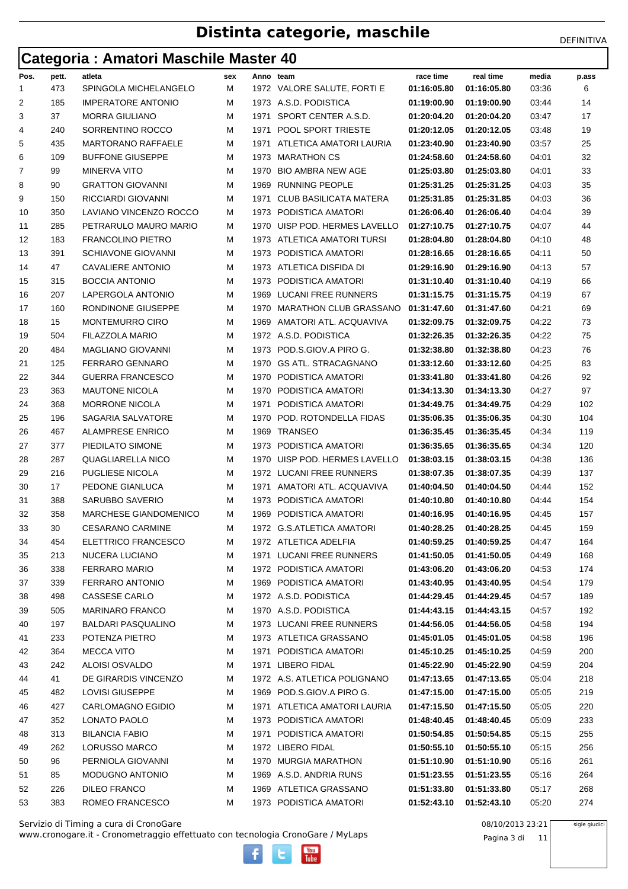## **Categoria : Amatori Maschile Master 40**

| Pos. | pett. | atleta                    | sex | Anno team |                               | race time                  | real time                | media | p.ass |
|------|-------|---------------------------|-----|-----------|-------------------------------|----------------------------|--------------------------|-------|-------|
| 1    | 473   | SPINGOLA MICHELANGELO     | м   |           | 1972 VALORE SALUTE, FORTI E   | 01:16:05.80                | 01:16:05.80              | 03:36 | 6     |
| 2    | 185   | <b>IMPERATORE ANTONIO</b> | м   |           | 1973 A.S.D. PODISTICA         | 01:19:00.90                | 01:19:00.90              | 03:44 | 14    |
| 3    | 37    | <b>MORRA GIULIANO</b>     | М   | 1971      | SPORT CENTER A.S.D.           | 01:20:04.20                | 01:20:04.20              | 03:47 | 17    |
| 4    | 240   | SORRENTINO ROCCO          | М   | 1971      | POOL SPORT TRIESTE            | 01:20:12.05                | 01:20:12.05              | 03:48 | 19    |
| 5    | 435   | <b>MARTORANO RAFFAELE</b> | М   | 1971      | ATLETICA AMATORI LAURIA       | 01:23:40.90                | 01:23:40.90              | 03:57 | 25    |
| 6    | 109   | <b>BUFFONE GIUSEPPE</b>   | м   |           | 1973 MARATHON CS              | 01:24:58.60                | 01:24:58.60              | 04:01 | 32    |
| 7    | 99    | <b>MINERVA VITO</b>       | м   | 1970      | <b>BIO AMBRA NEW AGE</b>      | 01:25:03.80                | 01:25:03.80              | 04:01 | 33    |
| 8    | 90    | <b>GRATTON GIOVANNI</b>   | М   | 1969      | <b>RUNNING PEOPLE</b>         | 01:25:31.25                | 01:25:31.25              | 04:03 | 35    |
| 9    | 150   | RICCIARDI GIOVANNI        | М   | 1971      | <b>CLUB BASILICATA MATERA</b> | 01:25:31.85                | 01:25:31.85              | 04:03 | 36    |
| 10   | 350   | LAVIANO VINCENZO ROCCO    | м   |           | 1973 PODISTICA AMATORI        | 01:26:06.40                | 01:26:06.40              | 04:04 | 39    |
| 11   | 285   | PETRARULO MAURO MARIO     | М   | 1970      | UISP POD. HERMES LAVELLO      | 01:27:10.75                | 01:27:10.75              | 04:07 | 44    |
| 12   | 183   | <b>FRANCOLINO PIETRO</b>  | м   |           | 1973 ATLETICA AMATORI TURSI   | 01:28:04.80                | 01:28:04.80              | 04:10 | 48    |
| 13   | 391   | <b>SCHIAVONE GIOVANNI</b> | М   |           | 1973 PODISTICA AMATORI        | 01:28:16.65                | 01:28:16.65              | 04:11 | 50    |
| 14   | 47    | <b>CAVALIERE ANTONIO</b>  | М   |           | 1973 ATLETICA DISFIDA DI      | 01:29:16.90                | 01:29:16.90              | 04:13 | 57    |
| 15   | 315   | <b>BOCCIA ANTONIO</b>     | м   | 1973      | PODISTICA AMATORI             | 01:31:10.40                | 01:31:10.40              | 04:19 | 66    |
| 16   | 207   | LAPERGOLA ANTONIO         | М   |           | 1969 LUCANI FREE RUNNERS      | 01:31:15.75                | 01:31:15.75              | 04:19 | 67    |
|      | 160   | RONDINONE GIUSEPPE        | М   | 1970      | <b>MARATHON CLUB GRASSANO</b> |                            |                          |       | 69    |
| 17   |       |                           |     |           |                               | 01:31:47.60<br>01:32:09.75 | 01:31:47.60              | 04:21 |       |
| 18   | 15    | <b>MONTEMURRO CIRO</b>    | М   | 1969      | AMATORI ATL. ACQUAVIVA        |                            | 01:32:09.75              | 04:22 | 73    |
| 19   | 504   | FILAZZOLA MARIO           | м   |           | 1972 A.S.D. PODISTICA         | 01:32:26.35                | 01:32:26.35              | 04:22 | 75    |
| 20   | 484   | <b>MAGLIANO GIOVANNI</b>  | М   |           | 1973 POD.S.GIOV.A PIRO G.     | 01:32:38.80                | 01:32:38.80              | 04:23 | 76    |
| 21   | 125   | <b>FERRARO GENNARO</b>    | м   |           | 1970 GS ATL. STRACAGNANO      | 01:33:12.60                | 01:33:12.60              | 04:25 | 83    |
| 22   | 344   | <b>GUERRA FRANCESCO</b>   | М   |           | 1970 PODISTICA AMATORI        | 01:33:41.80                | 01:33:41.80              | 04:26 | 92    |
| 23   | 363   | <b>MAUTONE NICOLA</b>     | М   |           | 1970 PODISTICA AMATORI        | 01:34:13.30                | 01:34:13.30              | 04:27 | 97    |
| 24   | 368   | <b>MORRONE NICOLA</b>     | м   |           | 1971 PODISTICA AMATORI        | 01:34:49.75                | 01:34:49.75              | 04:29 | 102   |
| 25   | 196   | SAGARIA SALVATORE         | м   |           | 1970 POD. ROTONDELLA FIDAS    | 01:35:06.35                | 01:35:06.35              | 04:30 | 104   |
| 26   | 467   | <b>ALAMPRESE ENRICO</b>   | М   | 1969      | TRANSEO                       | 01:36:35.45                | 01:36:35.45              | 04:34 | 119   |
| 27   | 377   | PIEDILATO SIMONE          | м   | 1973      | PODISTICA AMATORI             | 01:36:35.65                | 01:36:35.65              | 04:34 | 120   |
| 28   | 287   | QUAGLIARELLA NICO         | М   |           | 1970 UISP POD. HERMES LAVELLO | 01:38:03.15                | 01:38:03.15              | 04:38 | 136   |
| 29   | 216   | PUGLIESE NICOLA           | М   |           | 1972 LUCANI FREE RUNNERS      | 01:38:07.35                | 01:38:07.35              | 04:39 | 137   |
| 30   | 17    | PEDONE GIANLUCA           | М   | 1971      | AMATORI ATL. ACQUAVIVA        | 01:40:04.50                | 01:40:04.50              | 04:44 | 152   |
| 31   | 388   | <b>SARUBBO SAVERIO</b>    | м   |           | 1973 PODISTICA AMATORI        | 01:40:10.80                | 01:40:10.80              | 04:44 | 154   |
| 32   | 358   | MARCHESE GIANDOMENICO     | м   |           | 1969 PODISTICA AMATORI        | 01:40:16.95                | 01:40:16.95              | 04:45 | 157   |
| 33   | 30    | <b>CESARANO CARMINE</b>   | м   |           | 1972 G.S.ATLETICA AMATORI     | 01:40:28.25                | 01:40:28.25              | 04:45 | 159   |
| 34   | 454   | ELETTRICO FRANCESCO       | M   |           | 1972 ATLETICA ADELFIA         |                            | 01:40:59.25  01:40:59.25 | 04:47 | 164   |
| 35   | 213   | NUCERA LUCIANO            | M   |           | 1971 LUCANI FREE RUNNERS      | 01:41:50.05                | 01:41:50.05              | 04:49 | 168   |
| 36   | 338   | <b>FERRARO MARIO</b>      | М   |           | 1972 PODISTICA AMATORI        | 01:43:06.20                | 01:43:06.20              | 04:53 | 174   |
| 37   | 339   | FERRARO ANTONIO           | M   |           | 1969 PODISTICA AMATORI        | 01:43:40.95                | 01:43:40.95              | 04:54 | 179   |
| 38   | 498   | CASSESE CARLO             | М   |           | 1972 A.S.D. PODISTICA         | 01:44:29.45                | 01:44:29.45              | 04:57 | 189   |
| 39   | 505   | <b>MARINARO FRANCO</b>    | М   |           | 1970 A.S.D. PODISTICA         | 01:44:43.15                | 01:44:43.15              | 04:57 | 192   |
| 40   | 197   | BALDARI PASQUALINO        | м   |           | 1973 LUCANI FREE RUNNERS      | 01:44:56.05                | 01:44:56.05              | 04:58 | 194   |
| 41   | 233   | POTENZA PIETRO            | M   |           | 1973 ATLETICA GRASSANO        | 01:45:01.05                | 01:45:01.05              | 04:58 | 196   |
| 42   | 364   | MECCA VITO                | М   |           | 1971 PODISTICA AMATORI        | 01:45:10.25                | 01:45:10.25              | 04:59 | 200   |
| 43   | 242   | ALOISI OSVALDO            | М   |           | 1971 LIBERO FIDAL             | 01:45:22.90                | 01:45:22.90              | 04:59 | 204   |
| 44   | 41    | DE GIRARDIS VINCENZO      | M   |           | 1972 A.S. ATLETICA POLIGNANO  | 01:47:13.65                | 01:47:13.65              | 05:04 | 218   |
| 45   | 482   | LOVISI GIUSEPPE           | м   |           | 1969 POD.S.GIOV.A PIRO G.     | 01:47:15.00                | 01:47:15.00              | 05:05 | 219   |
| 46   | 427   | <b>CARLOMAGNO EGIDIO</b>  | M   |           | 1971 ATLETICA AMATORI LAURIA  | 01:47:15.50                | 01:47:15.50              | 05:05 | 220   |
| 47   | 352   | LONATO PAOLO              | м   |           | 1973 PODISTICA AMATORI        | 01:48:40.45                | 01:48:40.45              | 05:09 | 233   |
| 48   | 313   | <b>BILANCIA FABIO</b>     | М   |           | 1971 PODISTICA AMATORI        | 01:50:54.85                | 01:50:54.85              | 05:15 | 255   |
| 49   | 262   | <b>LORUSSO MARCO</b>      | М   |           | 1972 LIBERO FIDAL             | 01:50:55.10                | 01:50:55.10              | 05:15 | 256   |
| 50   | 96    | PERNIOLA GIOVANNI         | М   |           | 1970 MURGIA MARATHON          | 01:51:10.90                | 01:51:10.90              | 05:16 | 261   |
| 51   | 85    | <b>MODUGNO ANTONIO</b>    | м   |           | 1969 A.S.D. ANDRIA RUNS       | 01:51:23.55                | 01:51:23.55              | 05:16 | 264   |
| 52   | 226   | <b>DILEO FRANCO</b>       | M   |           | 1969 ATLETICA GRASSANO        | 01:51:33.80                | 01:51:33.80              | 05:17 | 268   |
| 53   | 383   | ROMEO FRANCESCO           | М   |           | 1973 PODISTICA AMATORI        | 01:52:43.10                | 01:52:43.10              | 05:20 | 274   |

www.cronogare.it - Cronometraggio effettuato con tecnologia CronoGare / MyLaps Servizio di Timing a cura di CronoGare 08/10/2013 23:21

**You**<br>Tube

Pagina 3 di 11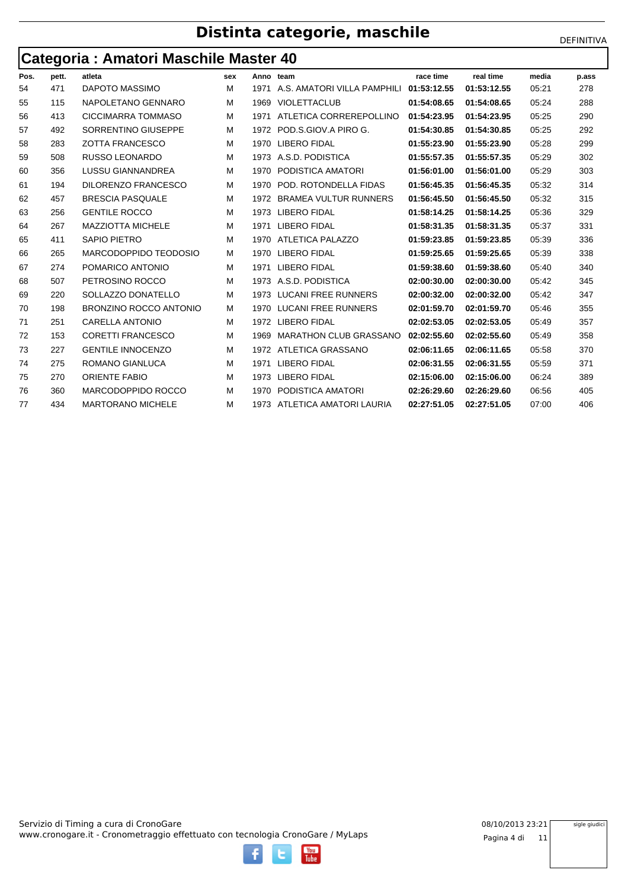## **Distinta categorie, maschile** DEFINITIVA

### **Categoria : Amatori Maschile Master 40**

|      | ີ     |                               |     |      |                               |             |             |       |       |
|------|-------|-------------------------------|-----|------|-------------------------------|-------------|-------------|-------|-------|
| Pos. | pett. | atleta                        | sex |      | Anno team                     | race time   | real time   | media | p.ass |
| 54   | 471   | <b>DAPOTO MASSIMO</b>         | M   | 1971 | A.S. AMATORI VILLA PAMPHILI   | 01:53:12.55 | 01:53:12.55 | 05:21 | 278   |
| 55   | 115   | NAPOLETANO GENNARO            | м   | 1969 | <b>VIOLETTACLUB</b>           | 01:54:08.65 | 01:54:08.65 | 05:24 | 288   |
| 56   | 413   | CICCIMARRA TOMMASO            | M   | 1971 | ATLETICA CORREREPOLLINO       | 01:54:23.95 | 01:54:23.95 | 05:25 | 290   |
| 57   | 492   | SORRENTINO GIUSEPPE           | м   | 1972 | POD.S.GIOV.A PIRO G.          | 01:54:30.85 | 01:54:30.85 | 05:25 | 292   |
| 58   | 283   | <b>ZOTTA FRANCESCO</b>        | м   | 1970 | <b>LIBERO FIDAL</b>           | 01:55:23.90 | 01:55:23.90 | 05:28 | 299   |
| 59   | 508   | <b>RUSSO LEONARDO</b>         | M   | 1973 | A.S.D. PODISTICA              | 01:55:57.35 | 01:55:57.35 | 05:29 | 302   |
| 60   | 356   | <b>LUSSU GIANNANDREA</b>      | M   | 1970 | PODISTICA AMATORI             | 01:56:01.00 | 01:56:01.00 | 05:29 | 303   |
| 61   | 194   | <b>DILORENZO FRANCESCO</b>    | м   | 1970 | POD. ROTONDELLA FIDAS         | 01:56:45.35 | 01:56:45.35 | 05:32 | 314   |
| 62   | 457   | <b>BRESCIA PASQUALE</b>       | м   | 1972 | <b>BRAMEA VULTUR RUNNERS</b>  | 01:56:45.50 | 01:56:45.50 | 05:32 | 315   |
| 63   | 256   | <b>GENTILE ROCCO</b>          | м   | 1973 | <b>LIBERO FIDAL</b>           | 01:58:14.25 | 01:58:14.25 | 05:36 | 329   |
| 64   | 267   | <b>MAZZIOTTA MICHELE</b>      | м   | 1971 | <b>LIBERO FIDAL</b>           | 01:58:31.35 | 01:58:31.35 | 05:37 | 331   |
| 65   | 411   | <b>SAPIO PIETRO</b>           | м   | 1970 | ATLETICA PALAZZO              | 01:59:23.85 | 01:59:23.85 | 05:39 | 336   |
| 66   | 265   | MARCODOPPIDO TEODOSIO         | м   | 1970 | <b>LIBERO FIDAL</b>           | 01:59:25.65 | 01:59:25.65 | 05:39 | 338   |
| 67   | 274   | POMARICO ANTONIO              | м   | 1971 | <b>LIBERO FIDAL</b>           | 01:59:38.60 | 01:59:38.60 | 05:40 | 340   |
| 68   | 507   | PETROSINO ROCCO               | м   | 1973 | A.S.D. PODISTICA              | 02:00:30.00 | 02:00:30.00 | 05:42 | 345   |
| 69   | 220   | SOLLAZZO DONATELLO            | м   | 1973 | <b>LUCANI FREE RUNNERS</b>    | 02:00:32.00 | 02:00:32.00 | 05:42 | 347   |
| 70   | 198   | <b>BRONZINO ROCCO ANTONIO</b> | м   | 1970 | <b>LUCANI FREE RUNNERS</b>    | 02:01:59.70 | 02:01:59.70 | 05:46 | 355   |
| 71   | 251   | <b>CARELLA ANTONIO</b>        | м   | 1972 | <b>LIBERO FIDAL</b>           | 02:02:53.05 | 02:02:53.05 | 05:49 | 357   |
| 72   | 153   | <b>CORETTI FRANCESCO</b>      | M   | 1969 | <b>MARATHON CLUB GRASSANO</b> | 02:02:55.60 | 02:02:55.60 | 05:49 | 358   |
| 73   | 227   | <b>GENTILE INNOCENZO</b>      | м   |      | 1972 ATLETICA GRASSANO        | 02:06:11.65 | 02:06:11.65 | 05:58 | 370   |
| 74   | 275   | ROMANO GIANLUCA               | м   | 1971 | <b>LIBERO FIDAL</b>           | 02:06:31.55 | 02:06:31.55 | 05:59 | 371   |
| 75   | 270   | <b>ORIENTE FABIO</b>          | м   | 1973 | <b>LIBERO FIDAL</b>           | 02:15:06.00 | 02:15:06.00 | 06:24 | 389   |
| 76   | 360   | MARCODOPPIDO ROCCO            | м   | 1970 | PODISTICA AMATORI             | 02:26:29.60 | 02:26:29.60 | 06:56 | 405   |
| 77   | 434   | <b>MARTORANO MICHELE</b>      | м   |      | 1973 ATLETICA AMATORI LAURIA  | 02:27:51.05 | 02:27:51.05 | 07:00 | 406   |
|      |       |                               |     |      |                               |             |             |       |       |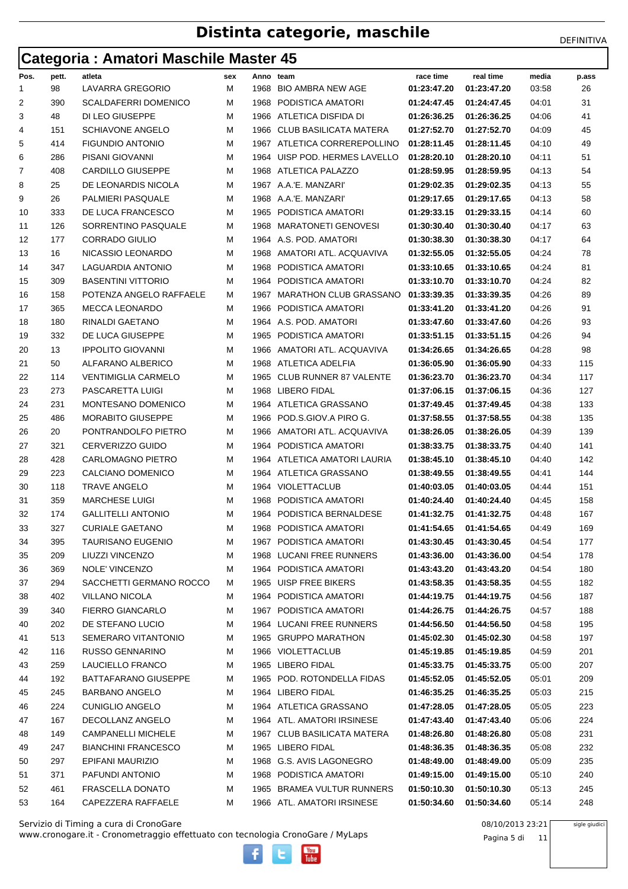### **Categoria : Amatori Maschile Master 45**

|      | ັ     |                             |     |           |                               |             |             |       |       |
|------|-------|-----------------------------|-----|-----------|-------------------------------|-------------|-------------|-------|-------|
| Pos. | pett. | atleta                      | sex | Anno team |                               | race time   | real time   | media | p.ass |
| 1    | 98    | LAVARRA GREGORIO            | М   | 1968      | <b>BIO AMBRA NEW AGE</b>      | 01:23:47.20 | 01:23:47.20 | 03:58 | 26    |
| 2    | 390   | <b>SCALDAFERRI DOMENICO</b> | М   | 1968      | PODISTICA AMATORI             | 01:24:47.45 | 01:24:47.45 | 04:01 | 31    |
| 3    | 48    | DI LEO GIUSEPPE             | м   | 1966      | ATLETICA DISFIDA DI           | 01:26:36.25 | 01:26:36.25 | 04:06 | 41    |
| 4    | 151   | <b>SCHIAVONE ANGELO</b>     | М   | 1966      | CLUB BASILICATA MATERA        | 01:27:52.70 | 01:27:52.70 | 04:09 | 45    |
| 5    | 414   | <b>FIGUNDIO ANTONIO</b>     | М   | 1967      | ATLETICA CORREREPOLLINO       | 01:28:11.45 | 01:28:11.45 | 04:10 | 49    |
| 6    | 286   | PISANI GIOVANNI             | м   | 1964      | UISP POD. HERMES LAVELLO      | 01:28:20.10 | 01:28:20.10 | 04:11 | 51    |
| 7    | 408   | <b>CARDILLO GIUSEPPE</b>    | М   | 1968      | ATLETICA PALAZZO              | 01:28:59.95 | 01:28:59.95 | 04:13 | 54    |
| 8    | 25    | DE LEONARDIS NICOLA         | М   |           | 1967 A.A.'E. MANZARI'         | 01:29:02.35 | 01:29:02.35 | 04:13 | 55    |
| 9    | 26    | <b>PALMIERI PASQUALE</b>    | м   | 1968      | A.A.'E. MANZARI'              | 01:29:17.65 | 01:29:17.65 | 04:13 | 58    |
| 10   | 333   | DE LUCA FRANCESCO           | М   | 1965      | PODISTICA AMATORI             | 01:29:33.15 | 01:29:33.15 | 04:14 | 60    |
| 11   | 126   | SORRENTINO PASQUALE         | М   | 1968      | <b>MARATONETI GENOVESI</b>    | 01:30:30.40 | 01:30:30.40 | 04:17 | 63    |
| 12   | 177   | <b>CORRADO GIULIO</b>       | м   | 1964      | A.S. POD. AMATORI             | 01:30:38.30 | 01:30:38.30 | 04:17 | 64    |
| 13   | 16    | NICASSIO LEONARDO           | М   | 1968      | AMATORI ATL. ACQUAVIVA        | 01:32:55.05 | 01:32:55.05 | 04:24 | 78    |
| 14   | 347   | LAGUARDIA ANTONIO           | М   | 1968      | PODISTICA AMATORI             | 01:33:10.65 | 01:33:10.65 | 04:24 | 81    |
| 15   | 309   | <b>BASENTINI VITTORIO</b>   | М   | 1964      | PODISTICA AMATORI             | 01:33:10.70 | 01:33:10.70 | 04:24 | 82    |
| 16   | 158   | POTENZA ANGELO RAFFAELE     | М   | 1967      | MARATHON CLUB GRASSANO        | 01:33:39.35 | 01:33:39.35 | 04:26 | 89    |
| 17   | 365   | <b>MECCA LEONARDO</b>       | М   | 1966      | PODISTICA AMATORI             | 01:33:41.20 | 01:33:41.20 | 04:26 | 91    |
| 18   | 180   | RINALDI GAETANO             | М   | 1964      | A.S. POD. AMATORI             | 01:33:47.60 | 01:33:47.60 | 04:26 | 93    |
| 19   | 332   | DE LUCA GIUSEPPE            | М   | 1965      | PODISTICA AMATORI             | 01:33:51.15 | 01:33:51.15 | 04:26 | 94    |
| 20   | 13    | <b>IPPOLITO GIOVANNI</b>    | М   | 1966      | AMATORI ATL. ACQUAVIVA        | 01:34:26.65 | 01:34:26.65 | 04:28 | 98    |
| 21   | 50    | ALFARANO ALBERICO           | М   | 1968      | ATLETICA ADELFIA              | 01:36:05.90 | 01:36:05.90 | 04:33 | 115   |
| 22   | 114   | <b>VENTIMIGLIA CARMELO</b>  | М   | 1965      | <b>CLUB RUNNER 87 VALENTE</b> | 01:36:23.70 | 01:36:23.70 | 04:34 | 117   |
| 23   | 273   | PASCARETTA LUIGI            | М   |           | 1968 LIBERO FIDAL             | 01:37:06.15 | 01:37:06.15 | 04:36 | 127   |
| 24   | 231   | MONTESANO DOMENICO          | м   | 1964      | ATLETICA GRASSANO             | 01:37:49.45 | 01:37:49.45 | 04:38 | 133   |
| 25   | 486   | <b>MORABITO GIUSEPPE</b>    | М   | 1966      | POD.S.GIOV.A PIRO G.          | 01:37:58.55 | 01:37:58.55 | 04:38 | 135   |
| 26   | 20    | PONTRANDOLFO PIETRO         | М   | 1966      | AMATORI ATL. ACQUAVIVA        | 01:38:26.05 | 01:38:26.05 | 04:39 | 139   |
| 27   | 321   | <b>CERVERIZZO GUIDO</b>     | М   | 1964      | PODISTICA AMATORI             | 01:38:33.75 | 01:38:33.75 | 04:40 | 141   |
| 28   | 428   | <b>CARLOMAGNO PIETRO</b>    | М   | 1964      | ATLETICA AMATORI LAURIA       | 01:38:45.10 | 01:38:45.10 | 04:40 | 142   |
| 29   | 223   | CALCIANO DOMENICO           | М   | 1964      | ATLETICA GRASSANO             | 01:38:49.55 | 01:38:49.55 | 04:41 | 144   |
| 30   | 118   | <b>TRAVE ANGELO</b>         | М   | 1964      | VIOLETTACLUB                  | 01:40:03.05 | 01:40:03.05 | 04:44 | 151   |
| 31   | 359   | <b>MARCHESE LUIGI</b>       | М   | 1968      | PODISTICA AMATORI             | 01:40:24.40 | 01:40:24.40 | 04:45 | 158   |
| 32   | 174   | <b>GALLITELLI ANTONIO</b>   | М   | 1964      | PODISTICA BERNALDESE          | 01:41:32.75 | 01:41:32.75 | 04:48 | 167   |
| 33   | 327   | <b>CURIALE GAETANO</b>      | М   |           | 1968 PODISTICA AMATORI        | 01:41:54.65 | 01:41:54.65 | 04:49 | 169   |
| 34   | 395   | TAURISANO EUGENIO           | M   |           | 1967 PODISTICA AMATORI        | 01:43:30.45 | 01:43:30.45 | 04:54 | 177   |
| 35   | 209   | LIUZZI VINCENZO             | M   |           | 1968 LUCANI FREE RUNNERS      | 01:43:36.00 | 01:43:36.00 | 04:54 | 178   |
| 36   | 369   | NOLE' VINCENZO              | М   |           | 1964 PODISTICA AMATORI        | 01:43:43.20 | 01:43:43.20 | 04:54 | 180   |
| 37   | 294   | SACCHETTI GERMANO ROCCO     | м   |           | 1965 UISP FREE BIKERS         | 01:43:58.35 | 01:43:58.35 | 04:55 | 182   |
| 38   | 402   | <b>VILLANO NICOLA</b>       | M   |           | 1964 PODISTICA AMATORI        | 01:44:19.75 | 01:44:19.75 | 04:56 | 187   |
| 39   | 340   | <b>FIERRO GIANCARLO</b>     | M   |           | 1967 PODISTICA AMATORI        | 01:44:26.75 | 01:44:26.75 | 04:57 | 188   |
| 40   | 202   | DE STEFANO LUCIO            | М   |           | 1964 LUCANI FREE RUNNERS      | 01:44:56.50 | 01:44:56.50 | 04:58 | 195   |
| 41   | 513   | SEMERARO VITANTONIO         | M   |           | 1965 GRUPPO MARATHON          | 01:45:02.30 | 01:45:02.30 | 04:58 | 197   |
| 42   | 116   | <b>RUSSO GENNARINO</b>      | M   |           | 1966 VIOLETTACLUB             | 01:45:19.85 | 01:45:19.85 | 04:59 | 201   |
| 43   | 259   | LAUCIELLO FRANCO            | М   |           | 1965 LIBERO FIDAL             | 01:45:33.75 | 01:45:33.75 | 05:00 | 207   |
| 44   | 192   | BATTAFARANO GIUSEPPE        | M   |           | 1965 POD. ROTONDELLA FIDAS    | 01:45:52.05 | 01:45:52.05 | 05:01 | 209   |
| 45   | 245   | <b>BARBANO ANGELO</b>       | M   |           | 1964 LIBERO FIDAL             | 01:46:35.25 | 01:46:35.25 | 05:03 | 215   |
| 46   | 224   | <b>CUNIGLIO ANGELO</b>      | М   |           | 1964 ATLETICA GRASSANO        | 01:47:28.05 | 01:47:28.05 | 05:05 | 223   |
| 47   | 167   | DECOLLANZ ANGELO            | M   |           | 1964 ATL. AMATORI IRSINESE    | 01:47:43.40 | 01:47:43.40 | 05:06 | 224   |
| 48   | 149   | <b>CAMPANELLI MICHELE</b>   | M   |           | 1967 CLUB BASILICATA MATERA   | 01:48:26.80 | 01:48:26.80 | 05:08 | 231   |
| 49   | 247   | <b>BIANCHINI FRANCESCO</b>  | м   |           | 1965 LIBERO FIDAL             | 01:48:36.35 | 01:48:36.35 | 05:08 | 232   |
| 50   | 297   | EPIFANI MAURIZIO            | M   |           | 1968 G.S. AVIS LAGONEGRO      | 01:48:49.00 | 01:48:49.00 | 05:09 | 235   |
| 51   | 371   | PAFUNDI ANTONIO             | М   |           | 1968 PODISTICA AMATORI        | 01:49:15.00 | 01:49:15.00 | 05:10 | 240   |
| 52   | 461   | FRASCELLA DONATO            | М   |           | 1965 BRAMEA VULTUR RUNNERS    | 01:50:10.30 | 01:50:10.30 | 05:13 | 245   |
| 53   | 164   | CAPEZZERA RAFFAELE          | м   |           | 1966 ATL. AMATORI IRSINESE    | 01:50:34.60 | 01:50:34.60 | 05:14 | 248   |
|      |       |                             |     |           |                               |             |             |       |       |

www.cronogare.it - Cronometraggio effettuato con tecnologia CronoGare / MyLaps Servizio di Timing a cura di CronoGare 08/10/2013 23:21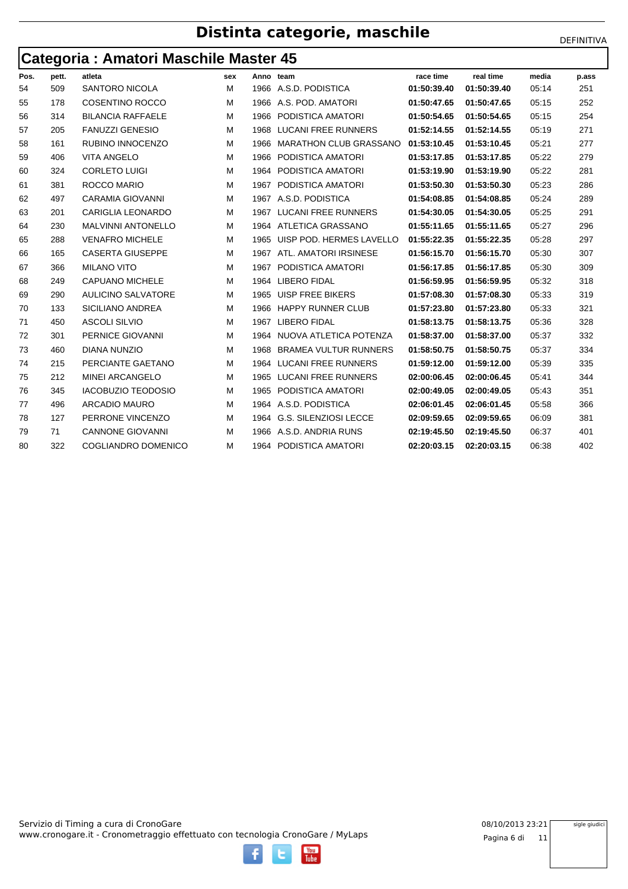## **Distinta categorie, maschile** DEFINITIVA

### **Categoria : Amatori Maschile Master 45**

|      | ັ     |                           |     |      |                               |             |             |       |       |
|------|-------|---------------------------|-----|------|-------------------------------|-------------|-------------|-------|-------|
| Pos. | pett. | atleta                    | sex |      | Anno team                     | race time   | real time   | media | p.ass |
| 54   | 509   | <b>SANTORO NICOLA</b>     | м   | 1966 | A.S.D. PODISTICA              | 01:50:39.40 | 01:50:39.40 | 05:14 | 251   |
| 55   | 178   | <b>COSENTINO ROCCO</b>    | M   | 1966 | A.S. POD. AMATORI             | 01:50:47.65 | 01:50:47.65 | 05:15 | 252   |
| 56   | 314   | <b>BILANCIA RAFFAELE</b>  | м   | 1966 | PODISTICA AMATORI             | 01:50:54.65 | 01:50:54.65 | 05:15 | 254   |
| 57   | 205   | <b>FANUZZI GENESIO</b>    | м   | 1968 | <b>LUCANI FREE RUNNERS</b>    | 01:52:14.55 | 01:52:14.55 | 05:19 | 271   |
| 58   | 161   | RUBINO INNOCENZO          | м   | 1966 | <b>MARATHON CLUB GRASSANO</b> | 01:53:10.45 | 01:53:10.45 | 05:21 | 277   |
| 59   | 406   | <b>VITA ANGELO</b>        | м   | 1966 | PODISTICA AMATORI             | 01:53:17.85 | 01:53:17.85 | 05:22 | 279   |
| 60   | 324   | <b>CORLETO LUIGI</b>      | м   | 1964 | PODISTICA AMATORI             | 01:53:19.90 | 01:53:19.90 | 05:22 | 281   |
| 61   | 381   | ROCCO MARIO               | м   | 1967 | PODISTICA AMATORI             | 01:53:50.30 | 01:53:50.30 | 05:23 | 286   |
| 62   | 497   | <b>CARAMIA GIOVANNI</b>   | м   |      | 1967 A.S.D. PODISTICA         | 01:54:08.85 | 01:54:08.85 | 05:24 | 289   |
| 63   | 201   | <b>CARIGLIA LEONARDO</b>  | м   | 1967 | <b>LUCANI FREE RUNNERS</b>    | 01:54:30.05 | 01:54:30.05 | 05:25 | 291   |
| 64   | 230   | <b>MALVINNI ANTONELLO</b> | м   |      | 1964 ATLETICA GRASSANO        | 01:55:11.65 | 01:55:11.65 | 05:27 | 296   |
| 65   | 288   | <b>VENAFRO MICHELE</b>    | м   | 1965 | UISP POD. HERMES LAVELLO      | 01:55:22.35 | 01:55:22.35 | 05:28 | 297   |
| 66   | 165   | <b>CASERTA GIUSEPPE</b>   | M   | 1967 | ATL. AMATORI IRSINESE         | 01:56:15.70 | 01:56:15.70 | 05:30 | 307   |
| 67   | 366   | <b>MILANO VITO</b>        | M   | 1967 | PODISTICA AMATORI             | 01:56:17.85 | 01:56:17.85 | 05:30 | 309   |
| 68   | 249   | <b>CAPUANO MICHELE</b>    | м   | 1964 | <b>LIBERO FIDAL</b>           | 01:56:59.95 | 01:56:59.95 | 05:32 | 318   |
| 69   | 290   | <b>AULICINO SALVATORE</b> | M   | 1965 | <b>UISP FREE BIKERS</b>       | 01:57:08.30 | 01:57:08.30 | 05:33 | 319   |
| 70   | 133   | SICILIANO ANDREA          | м   | 1966 | <b>HAPPY RUNNER CLUB</b>      | 01:57:23.80 | 01:57:23.80 | 05:33 | 321   |
| 71   | 450   | <b>ASCOLI SILVIO</b>      | м   | 1967 | <b>LIBERO FIDAL</b>           | 01:58:13.75 | 01:58:13.75 | 05:36 | 328   |
| 72   | 301   | <b>PERNICE GIOVANNI</b>   | м   | 1964 | NUOVA ATLETICA POTENZA        | 01:58:37.00 | 01:58:37.00 | 05:37 | 332   |
| 73   | 460   | <b>DIANA NUNZIO</b>       | M   | 1968 | <b>BRAMEA VULTUR RUNNERS</b>  | 01:58:50.75 | 01:58:50.75 | 05:37 | 334   |
| 74   | 215   | PERCIANTE GAETANO         | M   | 1964 | <b>LUCANI FREE RUNNERS</b>    | 01:59:12.00 | 01:59:12.00 | 05:39 | 335   |
| 75   | 212   | <b>MINEI ARCANGELO</b>    | м   | 1965 | <b>LUCANI FREE RUNNERS</b>    | 02:00:06.45 | 02:00:06.45 | 05:41 | 344   |
| 76   | 345   | <b>IACOBUZIO TEODOSIO</b> | м   | 1965 | PODISTICA AMATORI             | 02:00:49.05 | 02:00:49.05 | 05:43 | 351   |
| 77   | 496   | <b>ARCADIO MAURO</b>      | м   |      | 1964 A.S.D. PODISTICA         | 02:06:01.45 | 02:06:01.45 | 05:58 | 366   |
| 78   | 127   | PERRONE VINCENZO          | м   | 1964 | <b>G.S. SILENZIOSI LECCE</b>  | 02:09:59.65 | 02:09:59.65 | 06:09 | 381   |
| 79   | 71    | <b>CANNONE GIOVANNI</b>   | м   | 1966 | A.S.D. ANDRIA RUNS            | 02:19:45.50 | 02:19:45.50 | 06:37 | 401   |
| 80   | 322   | COGLIANDRO DOMENICO       | м   |      | 1964 PODISTICA AMATORI        | 02:20:03.15 | 02:20:03.15 | 06:38 | 402   |
|      |       |                           |     |      |                               |             |             |       |       |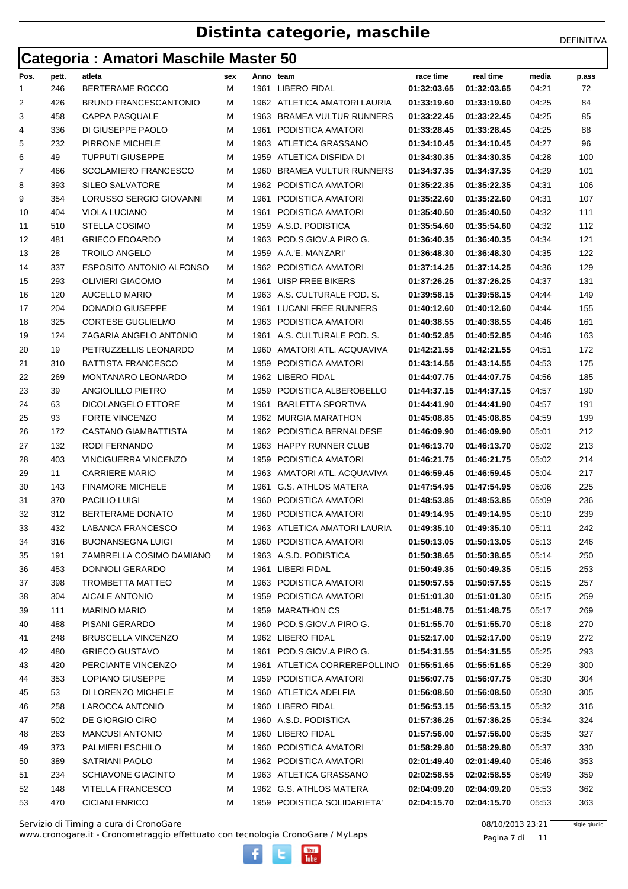## **Categoria : Amatori Maschile Master 50**

| Pos. | pett. | atleta                          | sex | Anno team |                              | race time   | real time                 | media | p.ass |
|------|-------|---------------------------------|-----|-----------|------------------------------|-------------|---------------------------|-------|-------|
| 1    | 246   | BERTERAME ROCCO                 | м   |           | 1961 LIBERO FIDAL            | 01:32:03.65 | 01:32:03.65               | 04:21 | 72    |
| 2    | 426   | <b>BRUNO FRANCESCANTONIO</b>    | М   |           | 1962 ATLETICA AMATORI LAURIA | 01:33:19.60 | 01:33:19.60               | 04:25 | 84    |
| 3    | 458   | <b>CAPPA PASQUALE</b>           | м   | 1963      | <b>BRAMEA VULTUR RUNNERS</b> | 01:33:22.45 | 01:33:22.45               | 04:25 | 85    |
| 4    | 336   | DI GIUSEPPE PAOLO               | м   | 1961      | PODISTICA AMATORI            | 01:33:28.45 | 01:33:28.45               | 04:25 | 88    |
| 5    | 232   | PIRRONE MICHELE                 | М   | 1963      | ATLETICA GRASSANO            | 01:34:10.45 | 01:34:10.45               | 04:27 | 96    |
| 6    | 49    | <b>TUPPUTI GIUSEPPE</b>         | М   | 1959      | ATLETICA DISFIDA DI          | 01:34:30.35 | 01:34:30.35               | 04:28 | 100   |
| 7    | 466   | <b>SCOLAMIERO FRANCESCO</b>     | м   | 1960      | <b>BRAMEA VULTUR RUNNERS</b> | 01:34:37.35 | 01:34:37.35               | 04:29 | 101   |
| 8    | 393   | SILEO SALVATORE                 | М   | 1962      | PODISTICA AMATORI            | 01:35:22.35 | 01:35:22.35               | 04:31 | 106   |
| 9    | 354   | LORUSSO SERGIO GIOVANNI         | м   | 1961      | PODISTICA AMATORI            | 01:35:22.60 | 01:35:22.60               | 04:31 | 107   |
| 10   | 404   | <b>VIOLA LUCIANO</b>            | м   | 1961      | PODISTICA AMATORI            | 01:35:40.50 | 01:35:40.50               | 04:32 | 111   |
| 11   | 510   | <b>STELLA COSIMO</b>            | М   | 1959      | A.S.D. PODISTICA             | 01:35:54.60 | 01:35:54.60               | 04:32 | 112   |
| 12   | 481   | <b>GRIECO EDOARDO</b>           | М   |           | 1963 POD.S.GIOV.A PIRO G.    | 01:36:40.35 | 01:36:40.35               | 04:34 | 121   |
| 13   | 28    | TROILO ANGELO                   | м   | 1959      | A.A.'E. MANZARI'             | 01:36:48.30 | 01:36:48.30               | 04:35 | 122   |
| 14   | 337   | <b>ESPOSITO ANTONIO ALFONSO</b> | М   |           | 1962 PODISTICA AMATORI       | 01:37:14.25 | 01:37:14.25               | 04:36 | 129   |
| 15   | 293   | <b>OLIVIERI GIACOMO</b>         | М   | 1961      | <b>UISP FREE BIKERS</b>      | 01:37:26.25 | 01:37:26.25               | 04:37 | 131   |
| 16   | 120   | <b>AUCELLO MARIO</b>            | м   | 1963      | A.S. CULTURALE POD. S.       | 01:39:58.15 | 01:39:58.15               | 04:44 | 149   |
| 17   | 204   | DONADIO GIUSEPPE                | М   | 1961      | LUCANI FREE RUNNERS          | 01:40:12.60 | 01:40:12.60               | 04:44 | 155   |
| 18   | 325   | <b>CORTESE GUGLIELMO</b>        | М   | 1963      | PODISTICA AMATORI            | 01:40:38.55 | 01:40:38.55               | 04:46 | 161   |
| 19   | 124   | ZAGARIA ANGELO ANTONIO          | м   |           | 1961 A.S. CULTURALE POD. S.  | 01:40:52.85 | 01:40:52.85               | 04:46 | 163   |
| 20   | 19    | PETRUZZELLIS LEONARDO           | М   | 1960      | AMATORI ATL, ACQUAVIVA       | 01:42:21.55 | 01:42:21.55               | 04:51 | 172   |
| 21   | 310   | <b>BATTISTA FRANCESCO</b>       | М   | 1959      | PODISTICA AMATORI            | 01:43:14.55 | 01:43:14.55               | 04:53 | 175   |
| 22   | 269   | <b>MONTANARO LEONARDO</b>       | м   |           | 1962 LIBERO FIDAL            | 01:44:07.75 | 01:44:07.75               | 04:56 | 185   |
| 23   | 39    | ANGIOLILLO PIETRO               | М   | 1959      | PODISTICA ALBEROBELLO        | 01:44:37.15 | 01:44:37.15               | 04:57 | 190   |
| 24   | 63    | DICOLANGELO ETTORE              | М   | 1961      | <b>BARLETTA SPORTIVA</b>     | 01:44:41.90 | 01:44:41.90               | 04:57 | 191   |
| 25   | 93    | <b>FORTE VINCENZO</b>           | м   |           | 1962 MURGIA MARATHON         | 01:45:08.85 | 01:45:08.85               | 04:59 | 199   |
| 26   | 172   | CASTANO GIAMBATTISTA            | М   |           | 1962 PODISTICA BERNALDESE    | 01:46:09.90 | 01:46:09.90               | 05:01 | 212   |
| 27   | 132   | RODI FERNANDO                   | М   | 1963      | <b>HAPPY RUNNER CLUB</b>     | 01:46:13.70 | 01:46:13.70               | 05:02 | 213   |
| 28   | 403   | <b>VINCIGUERRA VINCENZO</b>     | м   | 1959      | PODISTICA AMATORI            | 01:46:21.75 | 01:46:21.75               | 05:02 | 214   |
| 29   | 11    | <b>CARRIERE MARIO</b>           | М   | 1963      | AMATORI ATL. ACQUAVIVA       | 01:46:59.45 | 01:46:59.45               | 05:04 | 217   |
| 30   | 143   | <b>FINAMORE MICHELE</b>         | м   | 1961      | <b>G.S. ATHLOS MATERA</b>    | 01:47:54.95 | 01:47:54.95               | 05:06 | 225   |
| 31   | 370   | PACILIO LUIGI                   | М   | 1960      | PODISTICA AMATORI            | 01:48:53.85 | 01:48:53.85               | 05:09 | 236   |
| 32   | 312   | BERTERAME DONATO                | М   | 1960      | PODISTICA AMATORI            | 01:49:14.95 | 01:49:14.95               | 05:10 | 239   |
| 33   | 432   | LABANCA FRANCESCO               | м   |           | 1963 ATLETICA AMATORI LAURIA | 01:49:35.10 | 01:49:35.10               | 05:11 | 242   |
| 34   | 316   | <b>BUONANSEGNA LUIGI</b>        | М   |           | 1960 PODISTICA AMATORI       |             | 01:50:13.05   01:50:13.05 | 05:13 | 246   |
| 35   | 191   | ZAMBRELLA COSIMO DAMIANO        | м   |           | 1963 A.S.D. PODISTICA        | 01:50:38.65 | 01:50:38.65               | 05:14 | 250   |
| 36   | 453   | DONNOLI GERARDO                 | М   |           | 1961 LIBERI FIDAL            | 01:50:49.35 | 01:50:49.35               | 05:15 | 253   |
| 37   | 398   | TROMBETTA MATTEO                | M   |           | 1963 PODISTICA AMATORI       | 01:50:57.55 | 01:50:57.55               | 05:15 | 257   |
| 38   | 304   | AICALE ANTONIO                  | M   |           | 1959 PODISTICA AMATORI       | 01:51:01.30 | 01:51:01.30               | 05:15 | 259   |
| 39   | 111   | <b>MARINO MARIO</b>             | M   |           | 1959 MARATHON CS             | 01:51:48.75 | 01:51:48.75               | 05:17 | 269   |
| 40   | 488   | PISANI GERARDO                  | М   |           | 1960 POD.S.GIOV.A PIRO G.    | 01:51:55.70 | 01:51:55.70               | 05:18 | 270   |
| 41   | 248   | <b>BRUSCELLA VINCENZO</b>       | М   |           | 1962 LIBERO FIDAL            | 01:52:17.00 | 01:52:17.00               | 05:19 | 272   |
| 42   | 480   | <b>GRIECO GUSTAVO</b>           | М   |           | 1961 POD.S.GIOV.A PIRO G.    | 01:54:31.55 | 01:54:31.55               | 05:25 | 293   |
| 43   | 420   | PERCIANTE VINCENZO              | м   |           | 1961 ATLETICA CORREREPOLLINO | 01:55:51.65 | 01:55:51.65               | 05:29 | 300   |
| 44   | 353   | LOPIANO GIUSEPPE                | M   |           | 1959 PODISTICA AMATORI       | 01:56:07.75 | 01:56:07.75               | 05:30 | 304   |
| 45   | 53    | DI LORENZO MICHELE              | M   |           | 1960 ATLETICA ADELFIA        | 01:56:08.50 | 01:56:08.50               | 05:30 | 305   |
| 46   | 258   | LAROCCA ANTONIO                 | M   |           | 1960 LIBERO FIDAL            | 01:56:53.15 | 01:56:53.15               | 05:32 | 316   |
| 47   | 502   | DE GIORGIO CIRO                 | М   |           | 1960 A.S.D. PODISTICA        | 01:57:36.25 | 01:57:36.25               | 05:34 | 324   |
| 48   | 263   | <b>MANCUSI ANTONIO</b>          | М   |           | 1960 LIBERO FIDAL            | 01:57:56.00 | 01:57:56.00               | 05:35 | 327   |
| 49   | 373   | PALMIERI ESCHILO                | M   |           | 1960 PODISTICA AMATORI       | 01:58:29.80 | 01:58:29.80               | 05:37 | 330   |
| 50   | 389   | SATRIANI PAOLO                  | M   |           | 1962 PODISTICA AMATORI       | 02:01:49.40 | 02:01:49.40               | 05:46 | 353   |
| 51   | 234   | <b>SCHIAVONE GIACINTO</b>       | м   |           | 1963 ATLETICA GRASSANO       | 02:02:58.55 | 02:02:58.55               | 05:49 | 359   |
| 52   | 148   | VITELLA FRANCESCO               | м   |           | 1962 G.S. ATHLOS MATERA      | 02:04:09.20 | 02:04:09.20               | 05:53 | 362   |
| 53   | 470   | <b>CICIANI ENRICO</b>           | м   |           | 1959 PODISTICA SOLIDARIETA'  | 02:04:15.70 | 02:04:15.70               | 05:53 | 363   |

www.cronogare.it - Cronometraggio effettuato con tecnologia CronoGare / MyLaps Servizio di Timing a cura di CronoGare 08/10/2013 23:21

**You**<br>Tube

Pagina 7 di 11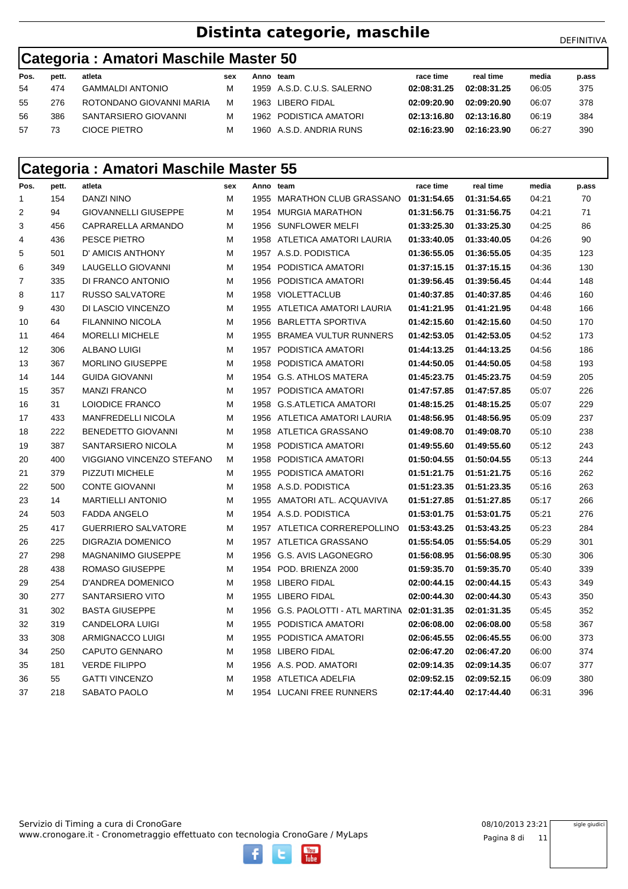## **Distinta categorie, maschile** DEFINITIVA

### **Categoria : Amatori Maschile Master 50**

| Pos. | pett. | atleta                   | sex | Anno team |                            | race time   | real time   | media | p.ass |
|------|-------|--------------------------|-----|-----------|----------------------------|-------------|-------------|-------|-------|
| 54   | 474   | <b>GAMMALDI ANTONIO</b>  |     |           | 1959 A.S.D. C.U.S. SALERNO | 02:08:31.25 | 02:08:31.25 | 06:05 | 375   |
| 55   | 276   | ROTONDANO GIOVANNI MARIA | М   |           | 1963 LIBERO FIDAL          | 02:09:20.90 | 02:09:20.90 | 06:07 | 378   |
| 56   | 386   | SANTARSIERO GIOVANNI     |     |           | 1962 PODISTICA AMATORI     | 02:13:16.80 | 02:13:16.80 | 06:19 | 384   |
| 57   | 73    | CIOCE PIETRO             | м   |           | 1960 A.S.D. ANDRIA RUNS    | 02:16:23.90 | 02:16:23.90 | 06:27 | 390   |

#### **Categoria : Amatori Maschile Master 55**

| Pos.           | pett. | atleta                      | sex | Anno team |                                         | race time   | real time   | media | p.ass |
|----------------|-------|-----------------------------|-----|-----------|-----------------------------------------|-------------|-------------|-------|-------|
| 1              | 154   | DANZI NINO                  | м   |           | 1955 MARATHON CLUB GRASSANO 01:31:54.65 |             | 01:31:54.65 | 04:21 | 70    |
| 2              | 94    | <b>GIOVANNELLI GIUSEPPE</b> | м   | 1954      | MURGIA MARATHON                         | 01:31:56.75 | 01:31:56.75 | 04:21 | 71    |
| 3              | 456   | CAPRARELLA ARMANDO          | м   |           | 1956 SUNFLOWER MELFI                    | 01:33:25.30 | 01:33:25.30 | 04:25 | 86    |
| 4              | 436   | PESCE PIETRO                | м   |           | 1958 ATLETICA AMATORI LAURIA            | 01:33:40.05 | 01:33:40.05 | 04:26 | 90    |
| 5              | 501   | D' AMICIS ANTHONY           | м   |           | 1957 A.S.D. PODISTICA                   | 01:36:55.05 | 01:36:55.05 | 04:35 | 123   |
| 6              | 349   | LAUGELLO GIOVANNI           | м   | 1954      | PODISTICA AMATORI                       | 01:37:15.15 | 01:37:15.15 | 04:36 | 130   |
| $\overline{7}$ | 335   | DI FRANCO ANTONIO           | М   | 1956      | PODISTICA AMATORI                       | 01:39:56.45 | 01:39:56.45 | 04:44 | 148   |
| 8              | 117   | <b>RUSSO SALVATORE</b>      | М   |           | 1958 VIOLETTACLUB                       | 01:40:37.85 | 01:40:37.85 | 04:46 | 160   |
| 9              | 430   | DI LASCIO VINCENZO          | М   | 1955      | ATLETICA AMATORI LAURIA                 | 01:41:21.95 | 01:41:21.95 | 04:48 | 166   |
| 10             | 64    | <b>FILANNINO NICOLA</b>     | М   | 1956      | <b>BARLETTA SPORTIVA</b>                | 01:42:15.60 | 01:42:15.60 | 04:50 | 170   |
| 11             | 464   | <b>MORELLI MICHELE</b>      | М   | 1955      | <b>BRAMEA VULTUR RUNNERS</b>            | 01:42:53.05 | 01:42:53.05 | 04:52 | 173   |
| 12             | 306   | <b>ALBANO LUIGI</b>         | Μ   |           | 1957 PODISTICA AMATORI                  | 01:44:13.25 | 01:44:13.25 | 04:56 | 186   |
| 13             | 367   | MORLINO GIUSEPPE            | М   | 1958      | PODISTICA AMATORI                       | 01:44:50.05 | 01:44:50.05 | 04:58 | 193   |
| 14             | 144   | <b>GUIDA GIOVANNI</b>       | м   |           | 1954 G.S. ATHLOS MATERA                 | 01:45:23.75 | 01:45:23.75 | 04:59 | 205   |
| 15             | 357   | <b>MANZI FRANCO</b>         | М   |           | 1957 PODISTICA AMATORI                  | 01:47:57.85 | 01:47:57.85 | 05:07 | 226   |
| 16             | 31    | LOIODICE FRANCO             | М   | 1958      | <b>G.S.ATLETICA AMATORI</b>             | 01:48:15.25 | 01:48:15.25 | 05:07 | 229   |
| 17             | 433   | <b>MANFREDELLI NICOLA</b>   | м   |           | 1956 ATLETICA AMATORI LAURIA            | 01:48:56.95 | 01:48:56.95 | 05:09 | 237   |
| 18             | 222   | BENEDETTO GIOVANNI          | м   |           | 1958 ATLETICA GRASSANO                  | 01:49:08.70 | 01:49:08.70 | 05:10 | 238   |
| 19             | 387   | SANTARSIERO NICOLA          | м   | 1958      | PODISTICA AMATORI                       | 01:49:55.60 | 01:49:55.60 | 05:12 | 243   |
| 20             | 400   | VIGGIANO VINCENZO STEFANO   | м   | 1958      | PODISTICA AMATORI                       | 01:50:04.55 | 01:50:04.55 | 05:13 | 244   |
| 21             | 379   | PIZZUTI MICHELE             | м   |           | 1955 PODISTICA AMATORI                  | 01:51:21.75 | 01:51:21.75 | 05:16 | 262   |
| 22             | 500   | <b>CONTE GIOVANNI</b>       | м   |           | 1958 A.S.D. PODISTICA                   | 01:51:23.35 | 01:51:23.35 | 05:16 | 263   |
| 23             | 14    | <b>MARTIELLI ANTONIO</b>    | м   |           | 1955 AMATORI ATL. ACQUAVIVA             | 01:51:27.85 | 01:51:27.85 | 05:17 | 266   |
| 24             | 503   | <b>FADDA ANGELO</b>         | м   |           | 1954 A.S.D. PODISTICA                   | 01:53:01.75 | 01:53:01.75 | 05:21 | 276   |
| 25             | 417   | <b>GUERRIERO SALVATORE</b>  | м   |           | 1957 ATLETICA CORREREPOLLINO            | 01:53:43.25 | 01:53:43.25 | 05:23 | 284   |
| 26             | 225   | DIGRAZIA DOMENICO           | М   |           | 1957 ATLETICA GRASSANO                  | 01:55:54.05 | 01:55:54.05 | 05:29 | 301   |
| 27             | 298   | <b>MAGNANIMO GIUSEPPE</b>   | м   |           | 1956 G.S. AVIS LAGONEGRO                | 01:56:08.95 | 01:56:08.95 | 05:30 | 306   |
| 28             | 438   | <b>ROMASO GIUSEPPE</b>      | м   |           | 1954 POD. BRIENZA 2000                  | 01:59:35.70 | 01:59:35.70 | 05:40 | 339   |
| 29             | 254   | D'ANDREA DOMENICO           | м   |           | 1958 LIBERO FIDAL                       | 02:00:44.15 | 02:00:44.15 | 05:43 | 349   |
| 30             | 277   | SANTARSIERO VITO            | м   |           | 1955 LIBERO FIDAL                       | 02:00:44.30 | 02:00:44.30 | 05:43 | 350   |
| 31             | 302   | <b>BASTA GIUSEPPE</b>       | м   | 1956      | G.S. PAOLOTTI - ATL MARTINA 02:01:31.35 |             | 02:01:31.35 | 05:45 | 352   |
| 32             | 319   | <b>CANDELORA LUIGI</b>      | М   |           | 1955 PODISTICA AMATORI                  | 02:06:08.00 | 02:06:08.00 | 05:58 | 367   |
| 33             | 308   | ARMIGNACCO LUIGI            | М   | 1955      | PODISTICA AMATORI                       | 02:06:45.55 | 02:06:45.55 | 06:00 | 373   |
| 34             | 250   | <b>CAPUTO GENNARO</b>       | М   |           | 1958 LIBERO FIDAL                       | 02:06:47.20 | 02:06:47.20 | 06:00 | 374   |
| 35             | 181   | <b>VERDE FILIPPO</b>        | М   |           | 1956 A.S. POD, AMATORI                  | 02:09:14.35 | 02:09:14.35 | 06:07 | 377   |
| 36             | 55    | <b>GATTI VINCENZO</b>       | М   | 1958      | ATLETICA ADELFIA                        | 02:09:52.15 | 02:09:52.15 | 06:09 | 380   |
| 37             | 218   | SABATO PAOLO                | М   |           | 1954 LUCANI FREE RUNNERS                | 02:17:44.40 | 02:17:44.40 | 06:31 | 396   |

You<br>Tube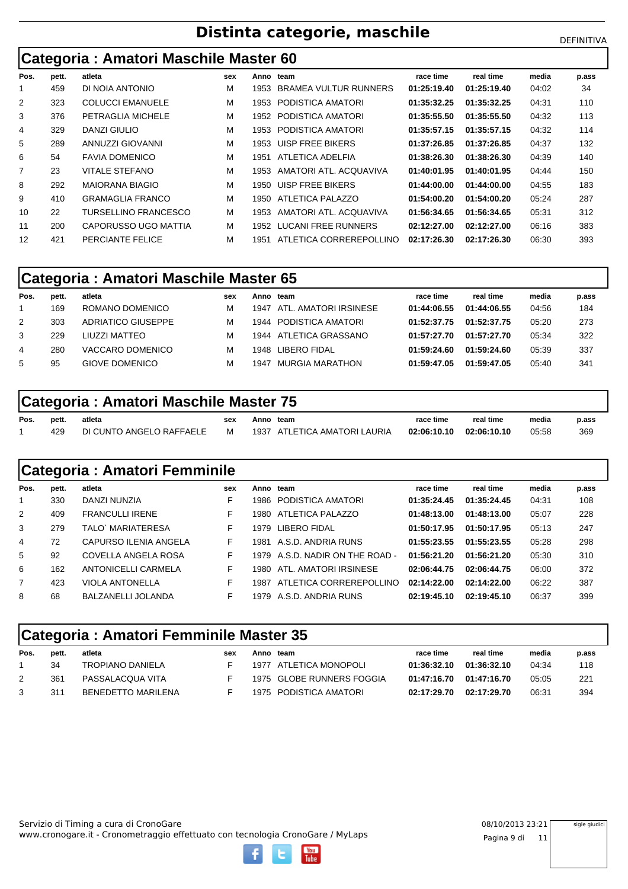# **Distinta categorie, maschile** Distinta Categorie, maschile

**Categoria : Amatori Maschile Master 60**

| Pos.           | pett. | atleta                  | sex | Anno | team                         | race time   | real time   | media | p.ass |
|----------------|-------|-------------------------|-----|------|------------------------------|-------------|-------------|-------|-------|
|                | 459   | DI NOIA ANTONIO         | М   | 1953 | <b>BRAMEA VULTUR RUNNERS</b> | 01:25:19.40 | 01:25:19.40 | 04:02 | 34    |
| 2              | 323   | <b>COLUCCI EMANUELE</b> | М   | 1953 | PODISTICA AMATORI            | 01:35:32.25 | 01:35:32.25 | 04:31 | 110   |
| 3              | 376   | PETRAGLIA MICHELE       | м   | 1952 | PODISTICA AMATORI            | 01:35:55.50 | 01:35:55.50 | 04:32 | 113   |
| 4              | 329   | DANZI GIULIO            | м   | 1953 | PODISTICA AMATORI            | 01:35:57.15 | 01:35:57.15 | 04:32 | 114   |
| 5              | 289   | ANNUZZI GIOVANNI        | м   | 1953 | UISP FREE BIKERS             | 01:37:26.85 | 01:37:26.85 | 04:37 | 132   |
| 6              | 54    | <b>FAVIA DOMENICO</b>   | м   | 1951 | ATLETICA ADELFIA             | 01:38:26.30 | 01:38:26.30 | 04:39 | 140   |
| $\overline{7}$ | 23    | <b>VITALE STEFANO</b>   | м   | 1953 | AMATORI ATL. ACQUAVIVA       | 01:40:01.95 | 01:40:01.95 | 04:44 | 150   |
| 8              | 292   | MAIORANA BIAGIO         | M   | 1950 | UISP FREE BIKERS             | 01:44:00.00 | 01:44:00.00 | 04:55 | 183   |
| 9              | 410   | <b>GRAMAGLIA FRANCO</b> | М   | 1950 | ATLETICA PALAZZO             | 01:54:00.20 | 01:54:00.20 | 05:24 | 287   |
| 10             | 22    | TURSELLINO FRANCESCO    | М   | 1953 | AMATORI ATL. ACQUAVIVA       | 01:56:34.65 | 01:56:34.65 | 05:31 | 312   |
| 11             | 200   | CAPORUSSO UGO MATTIA    | М   | 1952 | LUCANI FREE RUNNERS          | 02:12:27.00 | 02:12:27.00 | 06:16 | 383   |
| 12             | 421   | PERCIANTE FELICE        | М   | 1951 | ATLETICA CORREREPOLLINO      | 02:17:26.30 | 02:17:26.30 | 06:30 | 393   |

### **Categoria : Amatori Maschile Master 65**

| Pos. | pett. | atleta             | sex | Anno | team                   | race time   | real time   | media | p.ass |
|------|-------|--------------------|-----|------|------------------------|-------------|-------------|-------|-------|
|      | 169   | ROMANO DOMENICO    | м   | 1947 | ATL. AMATORI IRSINESE  | 01:44:06.55 | 01:44:06.55 | 04:56 | 184   |
| 2    | 303   | ADRIATICO GIUSEPPE | м   | 1944 | PODISTICA AMATORI      | 01:52:37.75 | 01:52:37.75 | 05:20 | 273   |
| 3    | 229   | LIUZZI MATTEO      | м   |      | 1944 ATLETICA GRASSANO | 01:57:27.70 | 01:57:27.70 | 05:34 | 322   |
| 4    | 280   | VACCARO DOMENICO   | м   | 1948 | LIBERO FIDAL           | 01:59:24.60 | 01:59:24.60 | 05:39 | 337   |
| 5    | 95    | GIOVE DOMENICO     | м   | 1947 | MURGIA MARATHON        | 01:59:47.05 | 01:59:47.05 | 05:40 | 341   |

## **Categoria : Amatori Maschile Master 75**

| Pos. | pett. | atleta                   | sex | Anno team |                              | race time               | real time | media | p.ass |
|------|-------|--------------------------|-----|-----------|------------------------------|-------------------------|-----------|-------|-------|
|      | 429   | DI CUNTO ANGELO RAFFAELE |     |           | 1937 ATLETICA AMATORI LAURIA | 02:06:10.10 02:06:10.10 |           | 05:58 | 369   |

|      |       | <b>Categoria: Amatori Femminile</b> |     |       |                            |             |             |       |       |
|------|-------|-------------------------------------|-----|-------|----------------------------|-------------|-------------|-------|-------|
| Pos. | pett. | atleta                              | sex |       | Anno team                  | race time   | real time   | media | p.ass |
|      | 330   | DANZI NUNZIA                        | F   |       | 1986 PODISTICA AMATORI     | 01:35:24.45 | 01:35:24.45 | 04:31 | 108   |
| 2    | 409   | <b>FRANCULLI IRENE</b>              | F.  | 1980. | ATLETICA PALAZZO           | 01:48:13.00 | 01:48:13.00 | 05:07 | 228   |
| 3    | 279   | TALO` MARIATERESA                   | F   | 1979  | LIBERO FIDAL               | 01:50:17.95 | 01:50:17.95 | 05:13 | 247   |
| 4    | 72    | CAPURSO ILENIA ANGELA               | F   | 1981  | A.S.D. ANDRIA RUNS         | 01:55:23.55 | 01:55:23.55 | 05:28 | 298   |
| 5    | 92    | COVELLA ANGELA ROSA                 | F   | 1979  | A.S.D. NADIR ON THE ROAD - | 01:56:21.20 | 01:56:21.20 | 05:30 | 310   |
| 6    | 162   | ANTONICELLI CARMELA                 | F   | 1980- | ATL. AMATORI IRSINESE      | 02:06:44.75 | 02:06:44.75 | 06:00 | 372   |
|      | 423   | <b>VIOLA ANTONELLA</b>              | F   | 1987  | ATLETICA CORREREPOLLINO    | 02:14:22.00 | 02:14:22.00 | 06:22 | 387   |
| 8    | 68    | BALZANELLI JOLANDA                  | F   |       | 1979 A.S.D. ANDRIA RUNS    | 02:19:45.10 | 02:19:45.10 | 06:37 | 399   |

### **Categoria : Amatori Femminile Master 35**

| Pos. | pett. | atleta                    | sex | Anno team |                           | race time   | real time   | media | p.ass |
|------|-------|---------------------------|-----|-----------|---------------------------|-------------|-------------|-------|-------|
|      | 34    | TROPIANO DANIELA          |     |           | 1977 ATLETICA MONOPOLI    | 01:36:32.10 | 01:36:32.10 | 04:34 | 118   |
|      | 361   | PASSALACQUA VITA          |     |           | 1975 GLOBE RUNNERS FOGGIA | 01:47:16.70 | 01.47:16.70 | 05:05 | 221   |
|      | 311   | <b>BENEDETTO MARILENA</b> |     |           | 1975 PODISTICA AMATORI    | 02:17:29.70 | 02:17:29.70 | 06:31 | 394   |

www.cronogare.it - Cronometraggio effettuato con tecnologia CronoGare / MyLaps Servizio di Timing a cura di CronoGare 08/10/2013 23:21

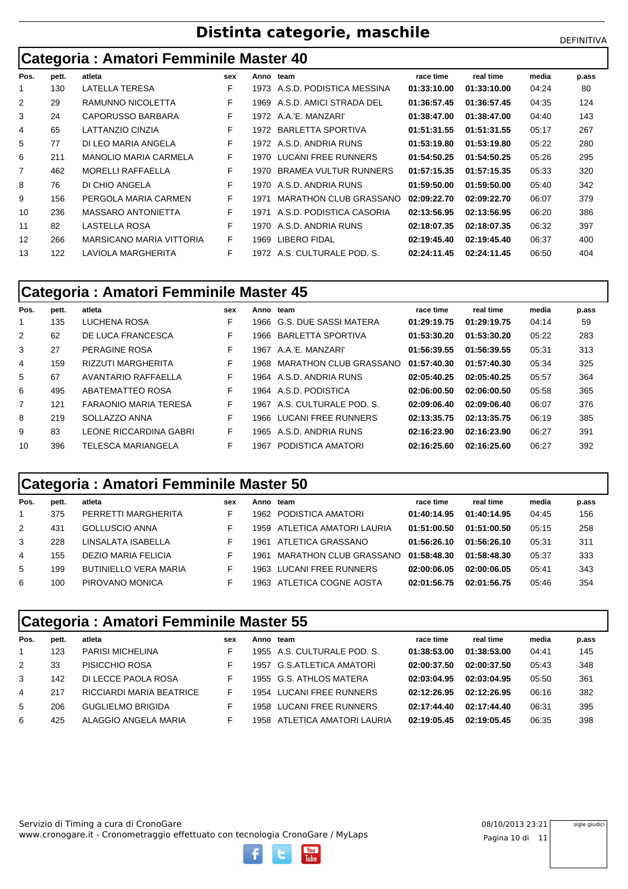# **Distinta categorie, maschile** Distinta Categorie, maschile

**Categoria : Amatori Femminile Master 40**

| Pos.           | pett. | atleta                   | sex | Anno | team                          | race time   | real time   | media | p.ass |
|----------------|-------|--------------------------|-----|------|-------------------------------|-------------|-------------|-------|-------|
|                | 130   | LATELLA TERESA           | F   |      | 1973 A.S.D. PODISTICA MESSINA | 01:33:10.00 | 01:33:10.00 | 04:24 | 80    |
| $\overline{2}$ | 29    | RAMUNNO NICOLETTA        | F.  |      | 1969 A.S.D. AMICI STRADA DEL  | 01:36:57.45 | 01:36:57.45 | 04:35 | 124   |
| 3              | 24    | CAPORUSSO BARBARA        | F   |      | 1972 A.A.'E. MANZARI'         | 01:38:47.00 | 01:38:47.00 | 04:40 | 143   |
| 4              | 65    | LATTANZIO CINZIA         | F   |      | 1972 BARLETTA SPORTIVA        | 01:51:31.55 | 01:51:31.55 | 05:17 | 267   |
| 5              | 77    | DI LEO MARIA ANGELA      | F   |      | 1972 A.S.D. ANDRIA RUNS       | 01:53:19.80 | 01:53:19.80 | 05:22 | 280   |
| 6              | 211   | MANOLIO MARIA CARMELA    | F.  |      | 1970 LUCANI FREE RUNNERS      | 01:54:50.25 | 01:54:50.25 | 05:26 | 295   |
| $\overline{7}$ | 462   | <b>MORELLI RAFFAELLA</b> | F   | 1970 | BRAMEA VULTUR RUNNERS         | 01:57:15.35 | 01:57:15.35 | 05:33 | 320   |
| 8              | 76    | DI CHIO ANGELA           | F   |      | 1970 A.S.D. ANDRIA RUNS       | 01:59:50.00 | 01:59:50.00 | 05:40 | 342   |
| 9              | 156   | PERGOLA MARIA CARMEN     | F   | 1971 | MARATHON CLUB GRASSANO        | 02:09:22.70 | 02:09:22.70 | 06:07 | 379   |
| 10             | 236   | MASSARO ANTONIETTA       | F.  |      | 1971 A.S.D. PODISTICA CASORIA | 02:13:56.95 | 02:13:56.95 | 06:20 | 386   |
| 11             | 82    | LASTELLA ROSA            | F.  |      | 1970 A.S.D. ANDRIA RUNS       | 02:18:07.35 | 02:18:07.35 | 06:32 | 397   |
| 12             | 266   | MARSICANO MARIA VITTORIA | F.  | 1969 | LIBERO FIDAL                  | 02:19:45.40 | 02:19:45.40 | 06:37 | 400   |
| 13             | 122   | LAVIOLA MARGHERITA       | F   |      | 1972 A.S. CULTURALE POD. S.   | 02:24:11.45 | 02:24:11.45 | 06:50 | 404   |

### **Categoria : Amatori Femminile Master 45**

| Pos.           | pett. | atleta                       | sex | Anno team |                            | race time   | real time   | media | p.ass |
|----------------|-------|------------------------------|-----|-----------|----------------------------|-------------|-------------|-------|-------|
|                | 135   | LUCHENA ROSA                 | F   |           | 1966 G.S. DUE SASSI MATERA | 01:29:19.75 | 01:29:19.75 | 04:14 | 59    |
| 2              | 62    | DE LUCA FRANCESCA            | F   | 1966      | BARLETTA SPORTIVA          | 01:53:30.20 | 01:53:30.20 | 05:22 | 283   |
| 3              | 27    | PERAGINE ROSA                | F   | 1967      | A.A.'E. MANZARI'           | 01:56:39.55 | 01:56:39.55 | 05:31 | 313   |
| 4              | 159   | <b>RIZZUTI MARGHERITA</b>    | F   | 1968.     | MARATHON CLUB GRASSANO     | 01:57:40.30 | 01:57:40.30 | 05:34 | 325   |
| 5              | 67    | AVANTARIO RAFFAELLA          | F   |           | 1964 A.S.D. ANDRIA RUNS    | 02:05:40.25 | 02:05:40.25 | 05:57 | 364   |
| 6              | 495   | ABATEMATTEO ROSA             | F   |           | 1964 A.S.D. PODISTICA      | 02:06:00.50 | 02:06:00.50 | 05:58 | 365   |
| $\overline{7}$ | 121   | <b>FARAONIO MARIA TERESA</b> | F   | 1967      | A.S. CULTURALE POD. S.     | 02:09:06.40 | 02:09:06.40 | 06:07 | 376   |
| 8              | 219   | SOLLAZZO ANNA                | F   |           | 1966 LUCANI FREE RUNNERS   | 02:13:35.75 | 02:13:35.75 | 06:19 | 385   |
| 9              | 83    | LEONE RICCARDINA GABRI       | F   | 1965      | A.S.D. ANDRIA RUNS         | 02:16:23.90 | 02:16:23.90 | 06:27 | 391   |
| 10             | 396   | TELESCA MARIANGELA           | F   | 1967      | PODISTICA AMATORI          | 02:16:25.60 | 02:16:25.60 | 06:27 | 392   |

### **Categoria : Amatori Femminile Master 50**

| Pos. | pett. | atleta                       | sex | Anno team |                              | race time   | real time   | media | p.ass |
|------|-------|------------------------------|-----|-----------|------------------------------|-------------|-------------|-------|-------|
|      | 375   | PERRETTI MARGHERITA          |     |           | 1962 PODISTICA AMATORI       | 01:40:14.95 | 01:40:14.95 | 04:45 | 156   |
| 2    | 431   | <b>GOLLUSCIO ANNA</b>        |     |           | 1959 ATLETICA AMATORI LAURIA | 01:51:00.50 | 01:51:00.50 | 05:15 | 258   |
| 3    | 228   | LINSALATA ISABELLA           |     | 1961      | ATLETICA GRASSANO            | 01:56:26.10 | 01:56:26.10 | 05:31 | 311   |
| 4    | 155   | DEZIO MARIA FELICIA          |     | 1961      | MARATHON CLUB GRASSANO       | 01:58:48.30 | 01:58:48.30 | 05:37 | 333   |
| 5    | 199   | <b>BUTINIELLO VERA MARIA</b> |     |           | 1963 LUCANI FREE RUNNERS     | 02:00:06.05 | 02:00:06.05 | 05:41 | 343   |
| 6    | 100   | PIROVANO MONICA              |     |           | 1963 ATLETICA COGNE AOSTA    | 02:01:56.75 | 02:01:56.75 | 05:46 | 354   |

### **Categoria : Amatori Femminile Master 55**

| Pos. | pett. | atleta                   | sex | Anno team |                              | race time   | real time   | media | p.ass |
|------|-------|--------------------------|-----|-----------|------------------------------|-------------|-------------|-------|-------|
|      | 123   | <b>PARISI MICHELINA</b>  |     |           | 1955 A.S. CULTURALE POD. S.  | 01:38:53.00 | 01:38:53.00 | 04:41 | 145   |
| 2    | 33    | PISICCHIO ROSA           |     | 1957      | G.S.ATLETICA AMATORI         | 02:00:37.50 | 02:00:37.50 | 05:43 | 348   |
| 3    | 142   | DI LECCE PAOLA ROSA      |     |           | 1955 G.S. ATHLOS MATERA      | 02:03:04.95 | 02:03:04.95 | 05:50 | 361   |
| 4    | 217   | RICCIARDI MARIA BEATRICE |     |           | 1954 LUCANI FREE RUNNERS     | 02:12:26.95 | 02:12:26.95 | 06:16 | 382   |
| -5   | 206   | <b>GUGLIELMO BRIGIDA</b> |     |           | 1958 LUCANI FREE RUNNERS     | 02:17:44.40 | 02:17:44.40 | 06:31 | 395   |
| 6    | 425   | ALAGGIO ANGELA MARIA     |     |           | 1958 ATLETICA AMATORI LAURIA | 02:19:05.45 | 02:19:05.45 | 06:35 | 398   |

www.cronogare.it - Cronometraggio effettuato con tecnologia CronoGare / MyLaps Servizio di Timing a cura di CronoGare 08/10/2013 23:21